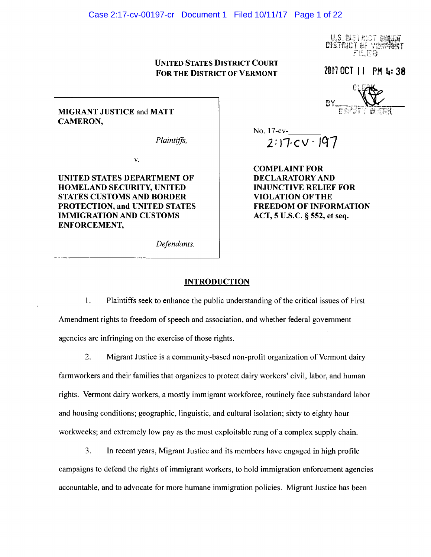### Case 2:17-cv-00197-cr Document 1 Filed 10/11/17 Page 1 of 22

U.S. DISTRICT ON DISTRICT <del>of</del> ve

UNITED STATES DISTRICT COURT FOR THE DISTRICT OF VERMONT

2017 OCT 11 PM 4:38

# MIGRANT JUSTICE and MATT CAMERON,

*Plaintiffs,* 

v.

UNITED STATES DEPARTMENT OF HOMELAND SECURITY, UNITED STATES CUSTOMS AND BORDER PROTECTION, and UNITED STATES IMMIGRATION AND CUSTOMS ENFORCEMENT,

No. 17-cv- $\frac{2 \cdot 7}{2 \cdot 1}$ 2:17.cv - 197

COMPLAINT FOR DECLARATORY AND INJUNCTIVE RELIEF FOR VIOLATION OF THE FREEDOM OF INFORMATION ACT, 5 U.S.C. § 552, et seq.

*Defendants.* 

### **INTRODUCTION**

1. Plaintiffs seek to enhance the public understanding of the critical issues of First Amendment rights to freedom of speech and association, and whether federal government agencies are infringing on the exercise of those rights.

2. Migrant Justice is a community-based non-profit organization of Vermont dairy farm workers and their families that organizes to protect dairy workers' civil, labor, and human rights. Vermont dairy workers, a mostly immigrant workforce, routinely face substandard labor and housing conditions; geographic, linguistic, and cultural isolation; sixty to eighty hour workweeks; and extremely low pay as the most exploitable rung of a complex supply chain.

3. In recent years, Migrant Justice and its members have engaged in high profile campaigns to defend the rights of immigrant workers, to hold immigration enforcement agencies accountable, and to advocate for more humane immigration policies. Migrant Justice has been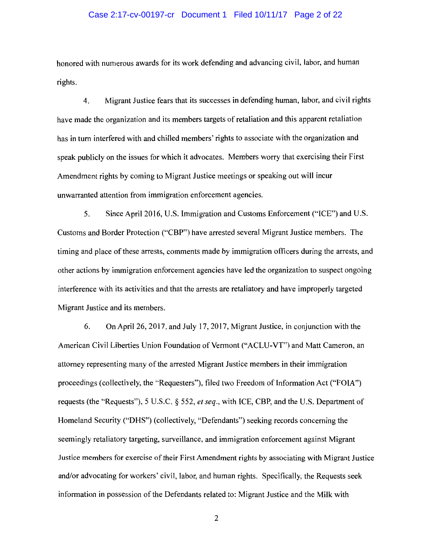## Case 2:17-cv-00197-cr Document 1 Filed 10/11/17 Page 2 of 22

honored with numerous awards for its work defending and advancing civil, labor, and human rights.

4. Migrant Justice fears that its successes in defending human, labor, and civil rights have made the organization and its members targets of retaliation and this apparent retaliation has in tum interfered with and chilled members' rights to associate with the organization and speak publicly on the issues for which it advocates. Members worry that exercising their First Amendment rights by coming to Migrant Justice meetings or speaking out will incur unwarranted attention from immigration enforcement agencies.

5. Since April 2016, U.S. Immigration and Customs Enforcement ("ICE") and U.S. Customs and Border Protection ("CBP") have arrested several Migrant Justice members. The timing and place of these arrests, comments made by immigration officers during the arrests, and other actions by immigration enforcement agencies have led the organization to suspect ongoing interference with its activities and that the arrests are retaliatory and have improperly targeted Migrant Justice and its members.

6. On April26, 2017, and July 17, 2017, Migrant Justice, in conjunction with the American Civil Liberties Union Foundation of Vermont ("ACLU-VT") and Matt Cameron, an attorney representing many of the arrested Migrant Justice members in their immigration proceedings (collectively, the "Requesters"), filed two Freedom of Information Act ("FOIA") requests (the "Requests"), 5 U.S.C. § 552, *et seq.,* with ICE, CBP, and the U.S. Department of Homeland Security ("DHS") (collectively, "Defendants") seeking records concerning the seemingly retaliatory targeting, surveillance, and immigration enforcement against Migrant Justice members for exercise of their First Amendment rights by associating with Migrant Justice and/or advocating for workers' civil, labor, and human rights. Specifically, the Requests seek information in possession of the Defendants related to: Migrant Justice and the Milk with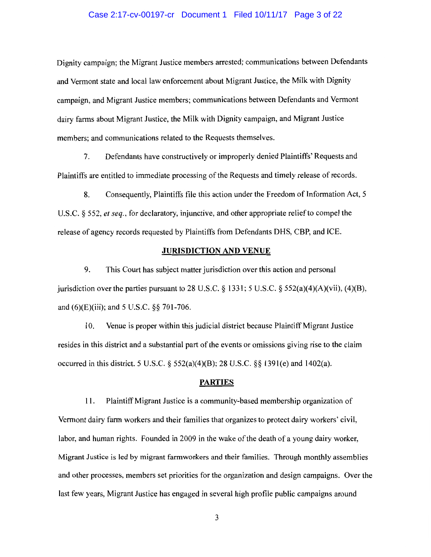### Case 2:17-cv-00197-cr Document 1 Filed 10/11/17 Page 3 of 22

Dignity campaign; the Migrant Justice members arrested; communications between Defendants and Vermont state and local law enforcement about Migrant Justice, the Milk with Dignity campaign, and Migrant Justice members; communications between Defendants and Vermont dairy farms about Migrant Justice, the Milk with Dignity campaign, and Migrant Justice members; and communications related to the Requests themselves.

7. Defendants have constructively or improperly denied Plaintiffs' Requests and Plaintiffs are entitled to immediate processing of the Requests and timely release of records.

8. Consequently, Plaintiffs file this action under the Freedom of Information Act, 5 U.S.C. § 552, *et seq.,* for declaratory, injunctive, and other appropriate relief to compel the release of agency records requested by Plaintiffs from Defendants DHS, CBP, and ICE.

#### JURISDICTION AND VENUE

9. This Court has subject matter jurisdiction over this action and personal jurisdiction over the parties pursuant to 28 U.S.C.  $\S$  1331; 5 U.S.C.  $\S$  552(a)(4)(A)(vii), (4)(B), and (6)(E)(iii); and 5 U.S.C. §§ 701-706.

10. Venue is proper within this judicial district because Plaintiff Migrant Justice resides in this district and a substantial part of the events or omissions giving rise to the claim occurred in this district. 5 U.S.C. §  $552(a)(4)(B)$ ; 28 U.S.C. §§ 1391(e) and 1402(a).

#### PARTIES

11. Plaintiff Migrant Justice is a community-based membership organization of Vermont dairy farm workers and their families that organizes to protect dairy workers' civil, labor, and human rights. Founded in 2009 in the wake of the death of a young dairy worker, Migrant Justice is led by migrant farmworkers and their families. Through monthly assemblies and other processes, members set priorities for the organization and design campaigns. Over the last few years, Migrant Justice has engaged in several high profile public campaigns around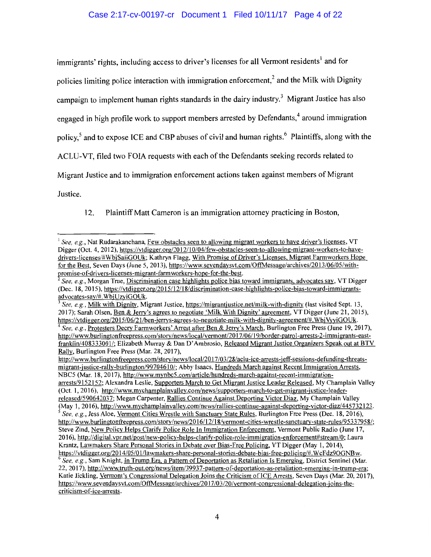# Case 2:17-cv-00197-cr Document 1 Filed 10/11/17 Page 4 of 22

immigrants' rights, including access to driver's licenses for all Vermont residents<sup>1</sup> and for policies limiting police interaction with immigration enforcement,<sup>2</sup> and the Milk with Dignity campaign to implement human rights standards in the dairy industry.<sup>3</sup> Migrant Justice has also engaged in high profile work to support members arrested by Defendants, $4$  around immigration policy,<sup>5</sup> and to expose ICE and CBP abuses of civil and human rights.<sup>6</sup> Plaintiffs, along with the ACLU-VT, filed two FOIA requests with each of the Defendants seeking records related to Migrant Justice and to immigration enforcement actions taken against members of Migrant

Justice.

12. Plaintiff Matt Cameron is an immigration attorney practicing in Boston,

<sup>&</sup>lt;sup>1</sup> See, e.g., Nat Rudarakanchana, Few obstacles seen to allowing migrant workers to have driver's licenses, VT Digger (Oct. 4, 2012), https://vtdigger.org/2012/10/04/few-obstacles-seen-to-allowing-migrant-workers-to-havedrivers-licenses/#WbjSaiiGOUk; Kathryn Flagg, With Promise of Driver's Licenses, Migrant Farmworkers Hope for the Best, Seven Days (June 5, 2013), https://www.sevendaysvt.com/OffMessage/archives/20 13/06/05/withpromise-of-drivers-licenses-migrant-farmworkers-hope-for-the-best.

<sup>2</sup>*See, e.g.,* Morgan True, Discrimination case highlights police bias toward immigrants, advocates say, VT Digger (Dec. 18, 2015), https://vtdigger.org/2015/12/18/discrimination-case-highlights-police-bias-toward-immigrantsadvocates-say/#. WbjUzyiGOUk.

<sup>3</sup>*See, e.g.,* Milk with Dignitv, Migrant Justice, https://migrantjustice.net/milk-with-dignity (last visited Sept. 13, 2017); Sarah Olsen, Ben & Jerry's agrees to negotiate 'Milk With Dignitv' agreement, VT Digger (June 21, 2015),

https://vtdigger.org/2015/06/21/ben-jerrys-agrees-to-negotiate-milk-with-dignity-agreement/#.WbjVyyiGOUk.<br><sup>4</sup> See, e.g., Protesters Decry Farmworkers' Arrest after Ben & Jerry's March, Burlington Free Press (June 19, 2017) http://www.burlingtonfreepress.com/story/news/local/vermont/2017/06/19/border-patrol-arrests-2-immigrants-eastfranklin/408333001/; Elizabeth Murray & Dan D'Ambrosio, Released Migrant Justice Organizers Speak out at BTV Rally, Burlington Free Press (Mar. 28, 2017),

http://www.burlingtonfreepress.com/story/news/local/2017/03/28/aclu-ice-arrests-jeff-sessions-defunding-threatsmigrant-justice-rally-burlington/99704610/; Abby Isaacs, Hundreds March against Recent Immigration Arrests, NBC5 (Mar. 18, 2017), http://www.mynbc5.com/article/hundreds-march-against-recent-immigrationarrests/9152152; Alexandra Leslie, Supporters March to Get Migrant Justice Leader Released, My Champlain Valley (Oct. 1, 2016), http://www.mychamplainvalley.com/news/supporters-march-to-get-migrant-justice-leaderreleased/590642037; Megan Carpenter, Rallies Continue Against Deporting Victor Diaz, My Champlain Valley (May 1, 2016), http://www.mychamplainvalley.com/news/rallies-continue-against-deporting-victor-diaz/445732123. See, e.g., Jess Aloe, Vermont Cities Wrestle with Sanctuary State Rules, Burlington Free Press (Dec. 18, 2016), http://www.burlingtonfreepress.com/story/news/2016/12/18/vermont-cities-wrestle-sanctuary-state-rules/95337958/; Steve Zind, New Policy Helps Clarify Police Role In Immigration Enforcement, Vermont Public Radio (June 17, 2016), http://digital.vpr.net/post/new-policy-helps-clarify-police-role-immigration-enforcement#stream/0; Laura Krantz, Lawmakers Share Personal Stories in Debate over Bias-Free Policing, VT Digger (May 1, 2014), https://vtdigger.org/2014/05/01/lawmakers-share-personal-stories-debate-bias-free-policing/#.WcFdz9OGNBw.<br><sup>6</sup> See, e.g., Sam Knight, <u>In Trump Era,</u> a Pattern of Deportation as Retaliation Is Emerging, District Sentinel (M 22, 2017), http://www.truth-out.org/news/item/39937-pattern-of-deportation-as-retaliation-emerging-in-trump-era; Katie Jickling, Vermont's Congressional Delegation Joins the Criticism of ICE Arrests, Seven Days (Mar. 20, 2017), https://www.sevendaysvt.com/OffMessage/archives/2017/03/20/vermont-congressional-delegation-joins-thecriticism-of-ice-arrests.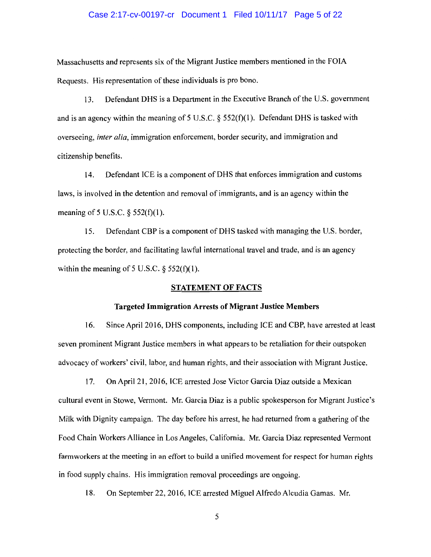### Case 2:17-cv-00197-cr Document 1 Filed 10/11/17 Page 5 of 22

Massachusetts and represents six of the Migrant Justice members mentioned in the FOIA Requests. His representation of these individuals is pro bono.

13. Defendant DHS is a Department in the Executive Branch of the U.S. government and is an agency within the meaning of 5 U.S.C.  $\S$  552(f)(1). Defendant DHS is tasked with overseeing, *inter alia,* immigration enforcement, border security, and immigration and citizenship benefits.

14. Defendant ICE is a component of DHS that enforces immigration and customs laws, is involved in the detention and removal of immigrants, and is an agency within the meaning of 5 U.S.C.  $\S$  552(f)(1).

15. Defendant CBP is a component of DHS tasked with managing the U.S. border, protecting the border, and facilitating lawful international travel and trade, and is an agency within the meaning of 5 U.S.C.  $\S$  552(f)(1).

# STATEMENT OF FACTS

# Targeted Immigration Arrests of Migrant Justice Members

16. Since April 2016, DHS components, including ICE and CBP, have arrested at least seven prominent Migrant Justice members in what appears to be retaliation for their outspoken advocacy of workers' civil, labor, and human rights, and their association with Migrant Justice.

17. On April 21, 2016, ICE arrested Jose Victor Garcia Diaz outside a Mexican cultural event in Stowe, Vermont. Mr. Garcia Diaz is a public spokesperson for Migrant Justice's Milk with Dignity campaign. The day before his arrest, he had returned from a gathering of the Food Chain Workers Alliance in Los Angeles, California. Mr. Garcia Diaz represented Vermont farmworkers at the meeting in an effort to build a unified movement for respect for human rights in food supply chains. His immigration removal proceedings are ongoing.

18. On September 22, 2016, ICE arrested Miguel Alfredo Alcudia Gamas. Mr.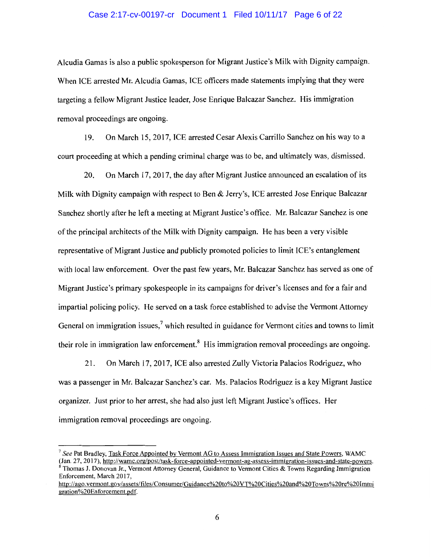# Case 2:17-cv-00197-cr Document 1 Filed 10/11/17 Page 6 of 22

Alcudia Gamas is also a public spokesperson for Migrant Justice's Milk with Dignity campaign. When ICE arrested Mr. Alcudia Gamas, ICE officers made statements implying that they were targeting a fellow Migrant Justice leader, Jose Enrique Balcazar Sanchez. His immigration removal proceedings are ongoing.

19. On March 15, 2017, ICE arrested Cesar Alexis Carrillo Sanchez on his way to a court proceeding at which a pending criminal charge was to be, and ultimately was, dismissed.

20. On March 17, 2017, the day after Migrant Justice announced an escalation of its Milk with Dignity campaign with respect to Ben & Jerry's, ICE arrested Jose Enrique Balcazar Sanchez shortly after he left a meeting at Migrant Justice's office. Mr. Balcazar Sanchez is one of the principal architects of the Milk with Dignity campaign. He has been a very visible representative of Migrant Justice and publicly promoted policies to limit ICE's entanglement with local law enforcement. Over the past few years, Mr. Balcazar Sanchez has served as one of Migrant Justice's primary spokespeople in its campaigns for driver's licenses and for a fair and impartial policing policy. He served on a task force established to advise the Vermont Attorney General on immigration issues,<sup>7</sup> which resulted in guidance for Vermont cities and towns to limit their role in immigration law enforcement.<sup>8</sup> His immigration removal proceedings are ongoing.

21. On March 17, 2017, ICE also arrested Zully Victoria Palacios Rodriguez, who was a passenger in Mr. Balcazar Sanchez's car. Ms. Palacios Rodriguez is a key Migrant Justice organizer. Just prior to her arrest, she had also just left Migrant Justice's offices. Her immigration removal proceedings are ongoing.

<sup>&</sup>lt;sup>7</sup> See Pat Bradley, <u>Task Force Appointed by Vermont AG to Assess Immigration Issues and State Powers, WAMC (Jan. 27, 2017), http://wamc.org/post/task-force-appointed-vermont-ag-assess-immigration-issues-and-state-powers.</u>

Thomas J. Donovan Jr., Vermont Attorney General, Guidance to Vermont Cities & Towns Regarding Immigration Enforcement, March 2017,

http://ago.vermont.gov/assets/files/Consumer/Guidance%20to%20VT%20Cities%20and%20Towns%20re%20Immi gration%20Enforcement.pdf.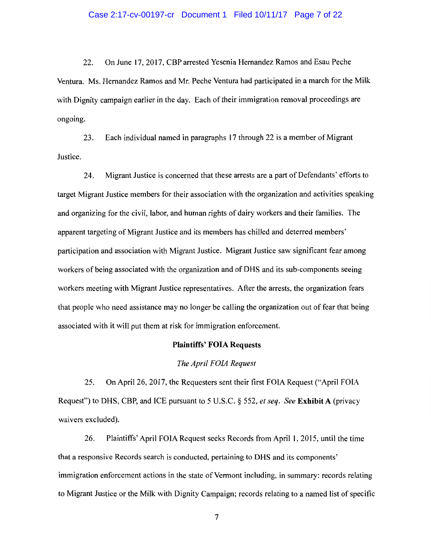22. On June 17, 2017, CBP arrested Yesenia Hernandez Ramos and Esau Peche Ventura. Ms. Hernandez Ramos and Mr. Peche Ventura had participated in a march for the Milk with Dignity campaign earlier in the day. Each of their immigration removal proceedings are ongoing.

23. Each individual named in paragraphs 17 through 22 is a member of Migrant Justice.

24. Migrant Justice is concerned that these arrests are a part of Defendants' efforts to target Migrant Justice members for their association with the organization and activities speaking and organizing for the civil, labor, and human rights of dairy workers and their families. The apparent targeting of Migrant Justice and its members has chilled and deterred members' participation and association with Migrant Justice. Migrant Justice saw significant fear among workers of being associated with the organization and of DHS and its sub-components seeing workers meeting with Migrant Justice representatives. After the arrests, the organization fears that people who need assistance may no longer be calling the organization out of fear that being associated with it will put them at risk for immigration enforcement.

## Plaintiffs' FOIA Requests

### *The April FOIA Request*

25. On April26, 2017, the Requesters sent their first FOIA Request ("April FOIA Request") to DHS, CBP, and ICE pursuant to 5 U.S.C. § 552, *et seq. See* Exhibit A (privacy waivers excluded).

26. Plaintiffs' April FOIA Request seeks Records from April l, 2015, until the time that a responsive Records search is conducted, pertaining to DHS and its components' immigration enforcement actions in the state of Vermont including, in summary: records relating to Migrant Justice or the Milk with Dignity Campaign; records relating to a named list of specific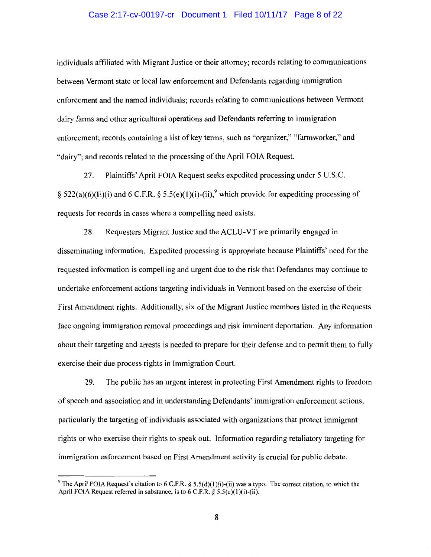### Case 2:17-cv-00197-cr Document 1 Filed 10/11/17 Page 8 of 22

individuals affiliated with Migrant Justice or their attorney; records relating to communications between Vermont state or local law enforcement and Defendants regarding immigration enforcement and the named individuals; records relating to communications between Vermont dairy farms and other agricultural operations and Defendants referring to immigration enforcement; records containing a list of key terms, such as "organizer," "farmworker," and "dairy"; and records related to the processing of the April FOIA Request.

27. Plaintiffs' April FOIA Request seeks expedited processing under 5 U.S.C. § 522(a)(6)(E)(i) and 6 C.F.R. § 5.5(e)(1)(i)-(ii),<sup>9</sup> which provide for expediting processing of requests for records in cases where a compelling need exists.

28. Requesters Migrant Justice and the ACLU-VT are primarily engaged in disseminating information. Expedited processing is appropriate because Plaintiffs' need for the requested information is compelling and urgent due to the risk that Defendants may continue to undertake enforcement actions targeting individuals in Vermont based on the exercise of their First Amendment rights. Additionally, six of the Migrant Justice members listed in the Requests face ongoing immigration removal proceedings and risk imminent deportation. Any information about their targeting and arrests is needed to prepare for their defense and to permit them to fully exercise their due process rights in Immigration Court.

29. The public has an urgent interest in protecting First Amendment rights to freedom of speech and association and in understanding Defendants' immigration enforcement actions, particularly the targeting of individuals associated with organizations that protect immigrant rights or who exercise their rights to speak out. Information regarding retaliatory targeting for immigration enforcement based on First Amendment activity is crucial for public debate.

<sup>&</sup>lt;sup>9</sup> The April FOIA Request's citation to 6 C.F.R. § 5.5(d)(1)(i)-(ii) was a typo. The correct citation, to which the April FOIA Request referred in substance, is to  $6$  C.F.R.  $\S$  5.5(e)(1)(i)-(ii).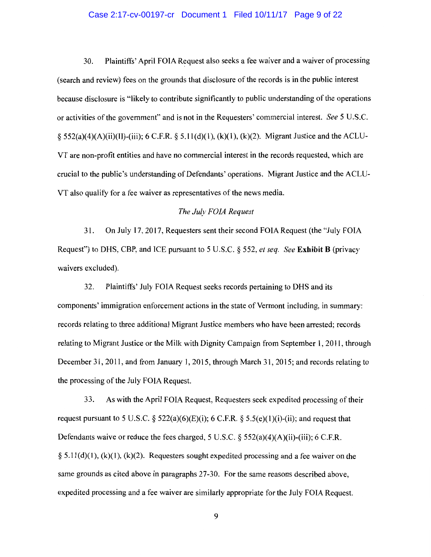#### Case 2:17-cv-00197-cr Document 1 Filed 10/11/17 Page 9 of 22

30. Plaintiffs' April FOIA Request also seeks a fee waiver and a waiver of processing (search and review) fees on the grounds that disclosure of the records is in the public interest because disclosure is "likely to contribute significantly to public understanding of the operations or activities of the government" and is not in the Requesters' commercial interest. *See* 5 U.S.C. § 552(a)(4)(A)(ii)(II)-(iii); 6 C.F.R. § 5.11(d)(1), (k)(1), (k)(2). Migrant Justice and the ACLU-VT are non-profit entities and have no commercial interest in the records requested, which are crucial to the public's understanding of Defendants' operations. Migrant Justice and the ACLU-VT also qualify for a fee waiver as representatives of the news media.

# *The July FOIA Request*

31. On July 17, 2017, Requesters sent their second FOIA Request (the "July FOIA Request") to DHS, CBP, and ICE pursuant to 5 U.S.C. § 552, *et seq. See* **Exhibit B** (privacy waivers excluded).

32. Plaintiffs' July FOIA Request seeks records pertaining to DHS and its components' immigration enforcement actions in the state of Vermont including, in summary: records relating to three additional Migrant Justice members who have been arrested; records relating to Migrant Justice or the Milk with Dignity Campaign from September 1, 2011, through December 31, 2011, and from January 1, 2015, through March 31, 2015; and records relating to the processing of the July FOIA Request.

33. As with the April FOIA Request, Requesters seek expedited processing of their request pursuant to 5 U.S.C.  $\S$  522(a)(6)(E)(i); 6 C.F.R.  $\S$  5.5(e)(1)(i)-(ii); and request that Defendants waive or reduce the fees charged, 5 U.S.C.  $\S$  552(a)(4)(A)(ii)-(iii); 6 C.F.R.  $\S$  5.11(d)(1), (k)(1), (k)(2). Requesters sought expedited processing and a fee waiver on the same grounds as cited above in paragraphs 27-30. For the same reasons described above, expedited processing and a fee waiver are similarly appropriate for the July FOIA Request.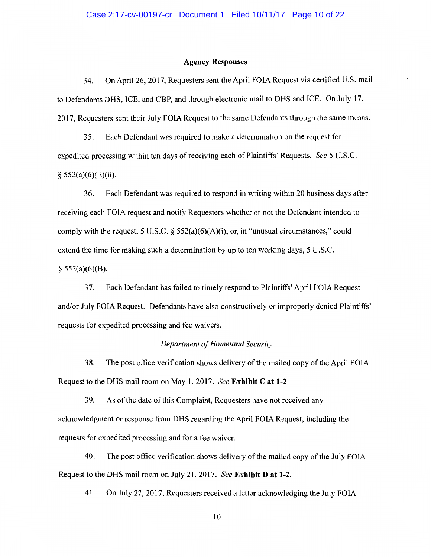#### **Agency Responses**

34. On April26, 2017, Requesters sent the April FOIA Request via certified U.S. mail to Defendants DHS, ICE, and CBP, and through electronic mail to DHS and ICE. On July 17, 2017, Requesters sent their July FOIA Request to the same Defendants through the same means.

35. Each Defendant was required to make a determination on the request for expedited processing within ten days of receiving each of Plaintiffs' Requests. *See* 5 U.S.C.  $§$  552(a)(6)(E)(ii).

36. Each Defendant was required to respond in writing within 20 business days after receiving each FOIA request and notify Requesters whether or not the Defendant intended to comply with the request, 5 U.S.C.  $\S$  552(a)(6)(A)(i), or, in "unusual circumstances," could extend the time for making such a determination by up to ten working days, 5 U.S.C.  $§$  552(a)(6)(B).

37. Each Defendant has failed to timely respond to Plaintiffs' April FOIA Request and/or July FOIA Request. Defendants have also constructively or improperly denied Plaintiffs' requests for expedited processing and fee waivers.

#### *Department of Homeland Security*

38. The post office verification shows delivery of the mailed copy of the April FOIA Request to the DHS mail room on May 1, 2017. *See* **Exhibit Cat 1-2.** 

39. As of the date of this Complaint, Requesters have not received any acknowledgment or response from DHS regarding the April FOIA Request, including the requests for expedited processing and for a fee waiver.

40. The post office verification shows delivery of the mailed copy of the July FOIA Request to the DHS mail room on July 21, 2017. *See* **Exhibit D at 1-2.** 

41. On July 27, 2017, Requesters received a letter acknowledging the July FOIA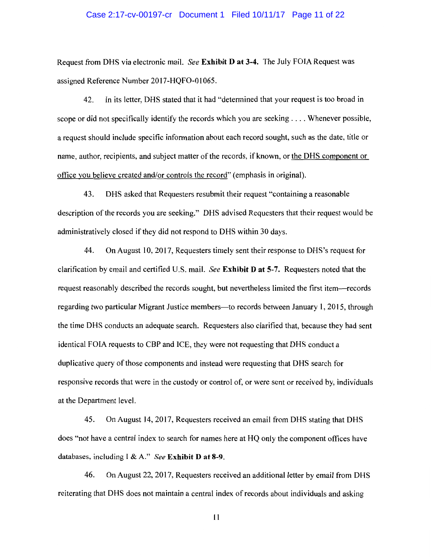#### Case 2:17-cv-00197-cr Document 1 Filed 10/11/17 Page 11 of 22

Request from DHS via electronic mail. *See* **Exhibit D at 3-4.** The July FOIA Request was assigned Reference Number 2017-HQF0-01065.

42. In its letter, DHS stated that it had "determined that your request is too broad in scope or did not specifically identify the records which you are seeking .... Whenever possible, a request should include specific information about each record sought, such as the date, title or name, author, recipients, and subject matter of the records, if known, or the DHS component or office you believe created and/or controls the record" (emphasis in original).

43. DHS asked that Requesters resubmit their request "containing a reasonable description of the records you are seeking." DHS advised Requesters that their request would be administratively closed if they did not respond to DHS within 30 days.

44. On August 10, 2017, Requesters timely sent their response to DHS 's request for clarification by email and certified U.S. mail. *See* **Exhibit D at 5-7.** Requesters noted that the request reasonably described the records sought, but nevertheless limited the first item-records regarding two particular Migrant Justice members—to records between January 1, 2015, through the time DHS conducts an adequate search. Requesters also clarified that, because they had sent identical FOIA requests to CBP and ICE, they were not requesting that DHS conduct a duplicative query of those components and instead were requesting that DHS search for responsive records that were in the custody or control of, or were sent or received by, individuals at the Department level.

45. On August 14, 2017, Requesters received an email from DHS stating that DHS does "not have a central index to search for names here at HQ only the component offices have databases, including I & A." *See* **Exhibit D at 8-9.** 

46. On August 22, 2017, Requesters received an additional letter by email from DHS reiterating that DHS does not maintain a central index of records about individuals and asking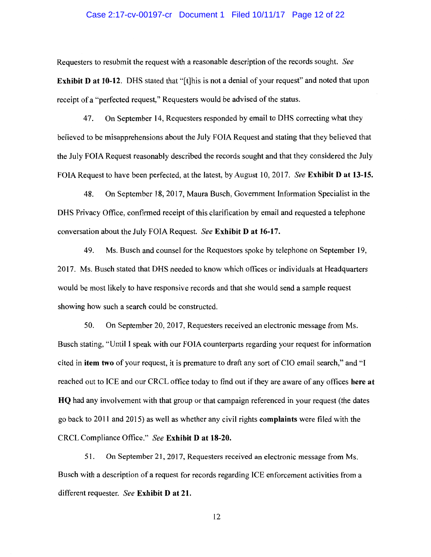#### Case 2:17-cv-00197-cr Document 1 Filed 10/11/17 Page 12 of 22

Requesters to resubmit the request with a reasonable description of the records sought. *See*  **Exhibit D at 10-12.** DHS stated that "[t]his is not a denial of your request" and noted that upon receipt of a "perfected request," Requesters would be advised of the status.

47. On September 14, Requesters responded by email to DHS correcting what they believed to be misapprehensions about the July FOIA Request and stating that they believed that the July FOIA Request reasonably described the records sought and that they considered the July FO IA Request to have been perfected, at the latest, by August 10, 2017. *See* **Exhibit D at 13-15.** 

48. On September 18, 2017, Maura Busch, Government Information Specialist in the DHS Privacy Office, confirmed receipt of this clarification by email and requested a telephone conversation about the July FOIA Request. *See* **Exhibit D at 16-17.** 

49. Ms. Busch and counsel for the Requestors spoke by telephone on September 19, 2017. Ms. Busch stated that DHS needed to know which offices or individuals at Headquarters would be most likely to have responsive records and that she would send a sample request showing how such a search could be constructed.

50. On September 20, 2017, Requesters received an electronic message from Ms. Busch stating, "Until I speak with our FOIA counterparts regarding your request for information cited in **item** two of your request, it is premature to draft any sort of CIO email search," and "I reached out to ICE and our CRCL office today to find out if they are aware of any offices **here at HQ** had any involvement with that group or that campaign referenced in your request (the dates go back to 2011 and 20 15) as well as whether any civil rights **complaints** were filed with the CRCL Compliance Office." *See* **Exhibit D at 18-20.** 

51. On September 21, 2017, Requesters received an electronic message from Ms. Busch with a description of a request for records regarding ICE enforcement activities from a different requester. *See* **Exhibit D at 21.**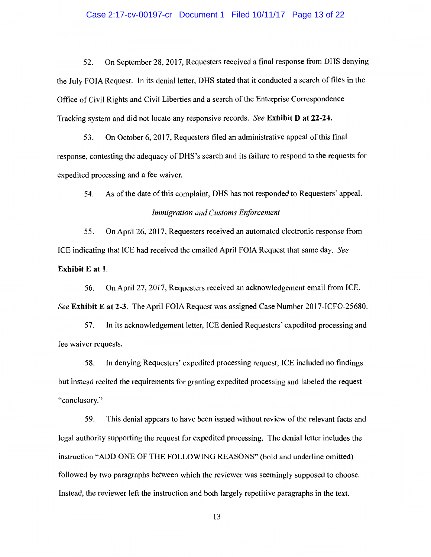#### Case 2:17-cv-00197-cr Document 1 Filed 10/11/17 Page 13 of 22

52. On September 28, 2017, Requesters received a final response from DHS denying the July FOIA Request. In its denial letter, DHS stated that it conducted a search of files in the Office of Civil Rights and Civil Liberties and a search of the Enterprise Correspondence Tracking system and did not locate any responsive records. *See* **Exhibit D at 22-24.** 

53. On October 6, 2017, Requesters filed an administrative appeal of this final response, contesting the adequacy ofDHS's search and its failure to respond to the requests for expedited processing and a fee waiver.

54. As of the date of this complaint, DHS has not responded to Requesters' appeal. *Immigration and Customs Enforcement* 

55. On April26, 2017, Requesters received an automated electronic response from ICE indicating that ICE had received the emailed April FOIA Request that same day. *See*  **Exhibit E at 1.** 

56. On April27, 2017, Requesters received an acknowledgement email from ICE. *See* **Exhibit Eat** 2-3. The April FOIA Request was assigned Case Number 2017-ICF0-25680.

57. In its acknowledgement letter, ICE denied Requesters' expedited processing and fee waiver requests.

58. In denying Requesters' expedited processing request, ICE included no findings but instead recited the requirements for granting expedited processing and labeled the request "conclusory."

59. This denial appears to have been issued without review of the relevant facts and legal authority supporting the request for expedited processing. The denial letter includes the instruction "ADD ONE OF THE FOLLOWING REASONS" (bold and underline omitted) followed by two paragraphs between which the reviewer was seemingly supposed to choose. Instead, the reviewer left the instruction and both largely repetitive paragraphs in the text.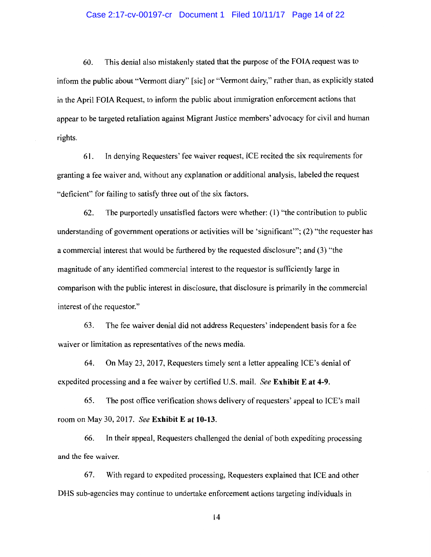#### Case 2:17-cv-00197-cr Document 1 Filed 10/11/17 Page 14 of 22

60. This denial also mistakenly stated that the purpose of the FOIA request was to inform the public about "Vermont diary" [sic] or "Vermont dairy," rather than, as explicitly stated in the April FOIA Request, to inform the public about immigration enforcement actions that appear to be targeted retaliation against Migrant Justice members' advocacy for civil and human rights.

61. In denying Requesters' fee waiver request, ICE recited the six requirements for granting a fee waiver and, without any explanation or additional analysis, labeled the request "deficient" for failing to satisfy three out of the six factors.

62. The purportedly unsatisfied factors were whether: ( 1) "the contribution to public understanding of government operations or activities will be 'significant"'; (2) "the requester has a commercial interest that would be furthered by the requested disclosure"; and (3) "the magnitude of any identified commercial interest to the requestor is sufficiently large in comparison with the public interest in disclosure, that disclosure is primarily in the commercial interest of the requestor."

63. The fee waiver denial did not address Requesters' independent basis for a fee waiver or limitation as representatives of the news media.

64. On May 23, 2017, Requesters timely sent a letter appealing ICE's denial of expedited processing and a fee waiver by certified U.S. mail. *See* **Exhibit Eat 4-9.** 

65. The post office verification shows delivery of requesters' appeal to ICE's mail room on May 30, 2017. *See* **Exhibit Eat 10-13.** 

66. In their appeal, Requesters challenged the denial of both expediting processing and the fee waiver.

67. With regard to expedited processing, Requesters explained that ICE and other DHS sub-agencies may continue to undertake enforcement actions targeting individuals in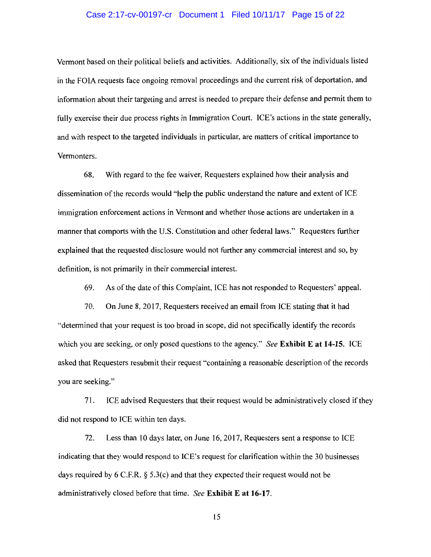## Case 2:17-cv-00197-cr Document 1 Filed 10/11/17 Page 15 of 22

Vermont based on their political beliefs and activities. Additionally, six of the individuals listed in the FOIA requests face ongoing removal proceedings and the current risk of deportation, and information about their targeting and arrest is needed to prepare their defense and permit them to fully exercise their due process rights in Immigration Court. ICE's actions in the state generally, and with respect to the targeted individuals in particular, are matters of critical importance to Vermonters.

68. With regard to the fee waiver, Requesters explained how their analysis and dissemination of the records would "help the public understand the nature and extent of ICE immigration enforcement actions in Vermont and whether those actions are undertaken in a manner that comports with the U.S. Constitution and other federal laws." Requesters further explained that the requested disclosure would not further any commercial interest and so, by definition, is not primarily in their commercial interest.

69. As ofthe date of this Complaint, ICE has not responded to Requesters' appeal.

70. On June 8, 2017, Requesters received an email from ICE stating that it had "determined that your request is too broad in scope, did not specifically identify the records which you are seeking, or only posed questions to the agency." *See* **Exhibit Eat 14-15.** ICE asked that Requesters resubmit their request "containing a reasonable description of the records you are seeking."

71. ICE advised Requesters that their request would be administratively closed if they did not respond to ICE within ten days.

72. Less than 10 days later, on June 16, 2017, Requesters sent a response to ICE indicating that they would respond to ICE's request for clarification within the 30 businesses days required by 6 C.F.R.  $\S$  5.3(c) and that they expected their request would not be administratively closed before that time. *See* **Exhibit Eat 16-17.**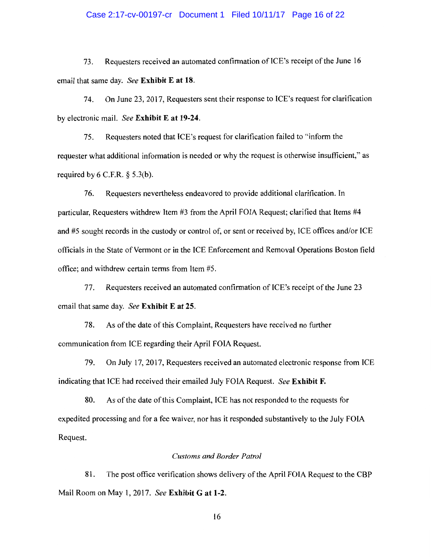### Case 2:17-cv-00197-cr Document 1 Filed 10/11/17 Page 16 of 22

73. Requesters received an automated confirmation of ICE's receipt of the June 16 email that same day. *See* **Exhibit E at 18.** 

74. On June 23, 2017, Requesters sent their response to ICE's request for clarification by electronic mail. *See* **Exhibit E at 19-24.** 

75. Requesters noted that ICE's request for clarification failed to "inform the requester what additional information is needed or why the request is otherwise insufficient," as required by  $6$  C.F.R.  $\S$  5.3(b).

76. Requesters nevertheless endeavored to provide additional clarification. In particular, Requesters withdrew Item #3 from the April FOIA Request; clarified that Items #4 and #5 sought records in the custody or control of, or sent or received by, ICE offices and/or ICE officials in the State of Vermont or in the ICE Enforcement and Removal Operations Boston field office; and withdrew certain terms from Item #5.

77. Requesters received an automated confirmation of ICE's receipt of the June 23 email that same day. *See* **Exhibit E at** 25.

78. As of the date of this Complaint, Requesters have received no further communication from ICE regarding their April FOIA Request.

79. On July 17, 2017, Requesters received an automated electronic response from ICE indicating that ICE had received their emailed July FOIA Request. *See* **Exhibit F.** 

80. As of the date of this Complaint, ICE has not responded to the requests for expedited processing and for a fee waiver, nor has it responded substantively to the July FOIA Request.

#### *Customs and Border Patrol*

81. The post office verification shows delivery of the April FOIA Request to the CBP Mail Room on May **1,** 2017. *See* **Exhibit Gat 1-2.**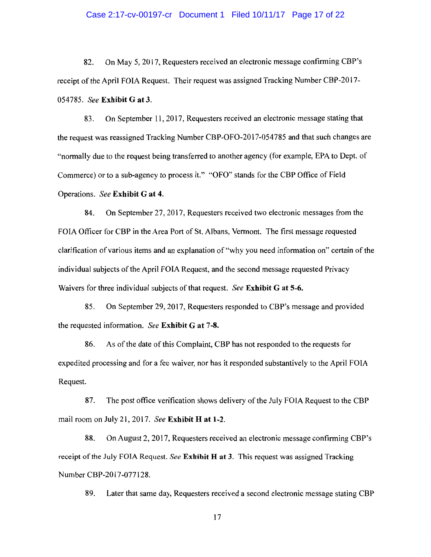#### Case 2:17-cv-00197-cr Document 1 Filed 10/11/17 Page 17 of 22

82. On May 5, 2017, Requesters received an electronic message confirming CBP's receipt of the April FOIA Request. Their request was assigned Tracking Number CBP-2017- 054785. *See* **Exhibit Gat 3.** 

83. On September 11, 2017, Requesters received an electronic message stating that the request was reassigned Tracking Number CBP-OF0-2017-054785 and that such changes are "normally due to the request being transferred to another agency (for example, EPA to Dept. of Commerce) or to a sub-agency to process it." "OFO" stands for the CBP Office of Field Operations. *See* **Exhibit G at 4.** 

84. On September 27, 2017, Requesters received two electronic messages from the FOIA Officer for CBP **in** the Area Port of St. Albans, Vermont. The first message requested clarification of various items and an explanation of "why you need information on" certain of the individual subjects of the April FOIA Request, and the second message requested Privacy Waivers for three individual subjects of that request. *See* **Exhibit Gat 5-6.** 

85. On September 29, 2017, Requesters responded to CBP's message and provided the requested information. *See* **Exhibit Gat 7-8.** 

86. As ofthe date of this Complaint, CBP has not responded to the requests for expedited processing and for a fee waiver, nor has it responded substantively to the April FOIA Request.

87. The post office verification shows delivery of the July FOIA Request to the CBP mail room on July 21, 2017. *See* **Exhibit H at 1-2.** 

88. On August 2, 2017, Requesters received an electronic message confirming CBP's receipt of the July FOIA Request. *See* **Exhibit Hat 3.** This request was assigned Tracking Number CBP-2017-077128.

89. Later that same day, Requesters received a second electronic message stating CBP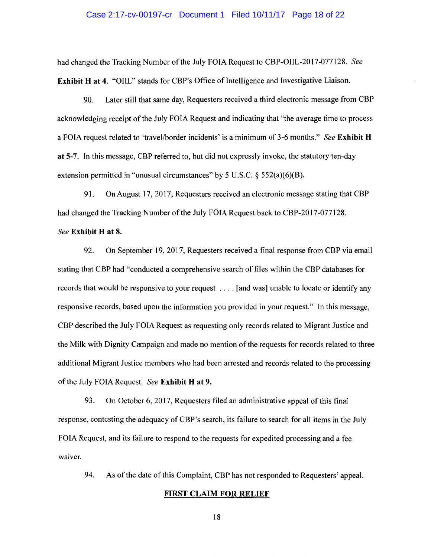#### Case 2:17-cv-00197-cr Document 1 Filed 10/11/17 Page 18 of 22

had changed the Tracking Number of the July FOIA Request to CBP-OIIL-2017-077128. *See*  **Exhibit H at 4.** "OIIL" stands for CBP's Office of Intelligence and Investigative Liaison.

90. Later still that same day, Requesters received a third electronic message from CBP acknowledging receipt of the July FOIA Request and indicating that "the average time to process a FOIA request related to 'travel/border incidents' is a minimum of 3-6 months." *See* **Exhibit H at** 5-7. In this message, CBP referred to, but did not expressly invoke, the statutory ten-day extension permitted in "unusual circumstances" by 5 U.S.C.  $\S$  552(a)(6)(B).

91. On August 17, 2017, Requesters received an electronic message stating that CBP had changed the Tracking Number of the July FOIA Request back to CBP-2017-077128.

## *See* **Exhibit H at 8.**

92. On September 19, 2017, Requesters received a final response from CBP via email stating that CBP had "conducted a comprehensive search of files within the CBP databases for records that would be responsive to your request .... [and was] unable to locate or identify any responsive records, based upon the information you provided in your request." In this message, CBP described the July FOIA Request as requesting only records related to Migrant Justice and the Milk with Dignity Campaign and made no mention of the requests for records related to three additional Migrant Justice members who had been arrested and records related to the processing of the July FOIA Request. *See* **Exhibit Hat 9.** 

93. On October 6, 2017, Requesters filed an administrative appeal of this final response, contesting the adequacy of CBP's search, its failure to search for all items in the July FOIA Request, and its failure to respond to the requests for expedited processing and a fee waiver.

94. As of the date of this Complaint, CBP has not responded to Requesters' appeal.

#### **FIRST CLAIM FOR RELIEF**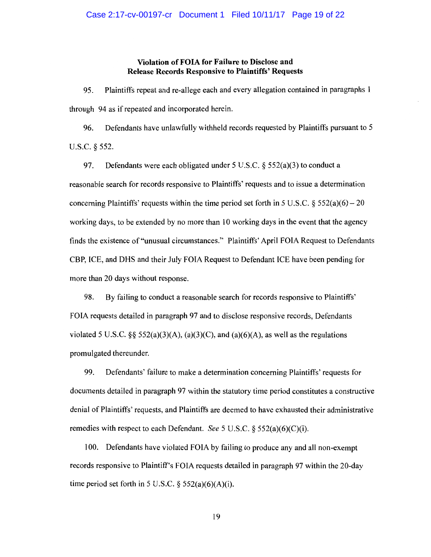# **Violation of FOIA for Failure to Disclose and Release Records Responsive to Plaintiffs' Requests**

95. Plaintiffs repeat and re-allege each and every allegation contained in paragraphs 1 through 94 as if repeated and incorporated herein.

96. Defendants have unlawfully withheld records requested by Plaintiffs pursuant to 5 u.s.c. § 552.

97. Defendants were each obligated under 5 U.S.C.  $\S$  552(a)(3) to conduct a reasonable search for records responsive to Plaintiffs' requests and to issue a determination concerning Plaintiffs' requests within the time period set forth in 5 U.S.C.  $\delta$  552(a)(6) – 20 working days, to be extended by no more than 10 working days in the event that the agency finds the existence of"unusual circumstances." Plaintiffs' April FOIA Request to Defendants CBP, ICE, and DHS and their July FOIA Request to Defendant ICE have been pending for more than 20 days without response.

98. By failing to conduct a reasonable search for records responsive to Plaintiffs' FOIA requests detailed in paragraph 97 and to disclose responsive records, Defendants violated 5 U.S.C. §§ 552(a)(3)(A), (a)(3)(C), and (a)(6)(A), as well as the regulations promulgated thereunder.

99. Defendants' failure to make a determination concerning Plaintiffs' requests for documents detailed in paragraph 97 within the statutory time period constitutes a constructive denial of Plaintiffs' requests, and Plaintiffs are deemed to have exhausted their administrative remedies with respect to each Defendant. *See* 5 U.S.C. § 552(a)(6)(C)(i).

100. Defendants have violated FOIA by failing to produce any and all non-exempt records responsive to Plaintiff's FOIA requests detailed in paragraph 97 within the 20-day time period set forth in 5 U.S.C.  $\S$  552(a)(6)(A)(i).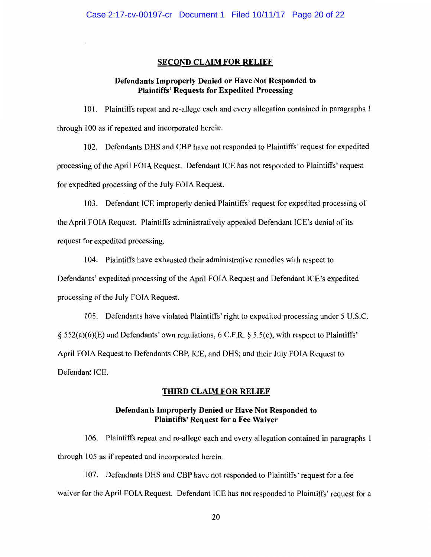## SECOND CLAIM FOR RELIEF

# Defendants Improperly Denied or Have Not Responded to Plaintiffs' Requests for Expedited Processing

101. Plaintiffs repeat and re-allege each and every allegation contained in paragraphs 1 through 100 as if repeated and incorporated herein.

102. Defendants DHS and CBP have not responded to Plaintiffs' request for expedited processing of the April FOIA Request. Defendant ICE has not responded to Plaintiffs' request for expedited processing of the July FOIA Request.

103. Defendant ICE improperly denied Plaintiffs' request for expedited processing of

the April FOIA Request. Plaintiffs administratively appealed Defendant ICE's denial of its request for expedited processing.

104. Plaintiffs have exhausted their administrative remedies with respect to

Defendants' expedited processing of the April FOIA Request and Defendant ICE's expedited processing of the July FOIA Request.

105. Defendants have violated Plaintiffs' right to expedited processing under 5 U.S.C. § 552(a)(6)(E) and Defendants' own regulations, 6 C.F.R. § 5.5(e), with respect to Plaintiffs' April FOIA Request to Defendants CBP, ICE, and DHS; and their July FOIA Request to Defendant ICE.

# THIRD CLAIM FOR RELIEF

# Defendants Improperly Denied or Have Not Responded to Plaintiffs' Request for a Fee Waiver

106. Plaintiffs repeat and re-allege each and every allegation contained in paragraphs 1 through 105 as if repeated and incorporated herein.

107. Defendants DHS and CBP have not responded to Plaintiffs' request for a fee waiver for the April FOIA Request. Defendant ICE has not responded to Plaintiffs' request for a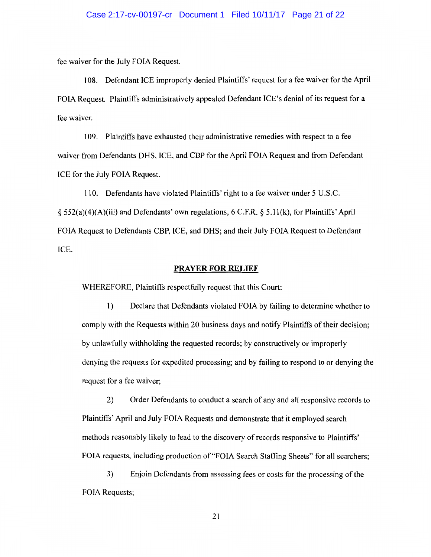### Case 2:17-cv-00197-cr Document 1 Filed 10/11/17 Page 21 of 22

fee waiver for the July FOIA Request.

108. Defendant ICE improperly denied Plaintiffs' request for a fee waiver for the April FOIA Request. Plaintiffs administratively appealed Defendant ICE's denial of its request for a fee waiver.

1 09. Plaintiffs have exhausted their administrative remedies with respect to a fee waiver from Defendants DHS, ICE, and CBP for the April FOIA Request and from Defendant ICE for the July FOIA Request.

110. Defendants have violated Plaintiffs' right to a fee waiver under 5 U.S.C. § 552(a)(4)(A)(iii) and Defendants' own regulations, 6 C.F.R. § 5.11(k), for Plaintiffs' April FOIA Request to Defendants CBP, ICE, and DHS; and their July FOIA Request to Defendant ICE.

### **PRAYER FOR RELIEF**

WHEREFORE, Plaintiffs respectfully request that this Court:

1) Declare that Defendants violated FOIA by failing to determine whether to comply with the Requests within 20 business days and notify Plaintiffs of their decision; by unlawfully withholding the requested records; by constructively or improperly denying the requests for expedited processing; and by failing to respond to or denying the request for a fee waiver;

2) Order Defendants to conduct a search of any and all responsive records to Plaintiffs' April and July FOIA Requests and demonstrate that it employed search methods reasonably likely to lead to the discovery of records responsive to Plaintiffs' FOIA requests, including production of "FOIA Search Staffing Sheets" for all searchers;

3) Enjoin Defendants from assessing fees or costs for the processing of the FOIA Requests;